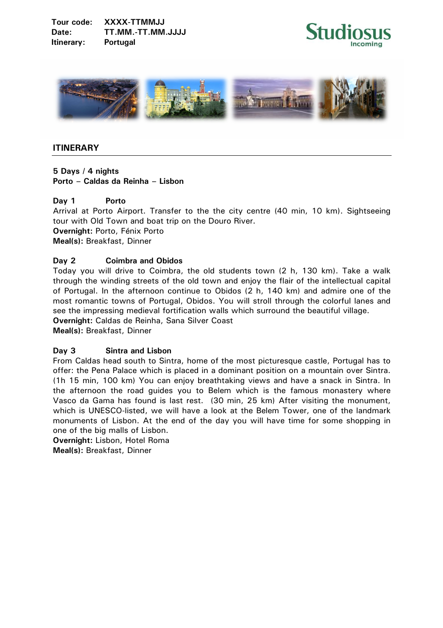**Tour code: XXXX-TTMMJJ Date: TT.MM.-TT.MM.JJJJ Itinerary: Portugal** 





# **ITINERARY**

**5 Days / 4 nights Porto – Caldas da Reinha – Lisbon** 

### **Day 1 Porto**

Arrival at Porto Airport. Transfer to the the city centre (40 min, 10 km). Sightseeing tour with Old Town and boat trip on the Douro River. **Overnight:** Porto, Fénix Porto **Meal(s):** Breakfast, Dinner

### **Day 2 Coimbra and Obidos**

Today you will drive to Coimbra, the old students town (2 h, 130 km). Take a walk through the winding streets of the old town and enjoy the flair of the intellectual capital of Portugal. In the afternoon continue to Obidos (2 h, 140 km) and admire one of the most romantic towns of Portugal, Obidos. You will stroll through the colorful lanes and see the impressing medieval fortification walls which surround the beautiful village.

**Overnight:** Caldas de Reinha, Sana Silver Coast

**Meal(s):** Breakfast, Dinner

## **Day 3 Sintra and Lisbon**

From Caldas head south to Sintra, home of the most picturesque castle, Portugal has to offer: the Pena Palace which is placed in a dominant position on a mountain over Sintra. (1h 15 min, 100 km) You can enjoy breathtaking views and have a snack in Sintra. In the afternoon the road guides you to Belem which is the famous monastery where Vasco da Gama has found is last rest. (30 min, 25 km) After visiting the monument, which is UNESCO-listed, we will have a look at the Belem Tower, one of the landmark monuments of Lisbon. At the end of the day you will have time for some shopping in one of the big malls of Lisbon.

**Overnight:** Lisbon, Hotel Roma **Meal(s):** Breakfast, Dinner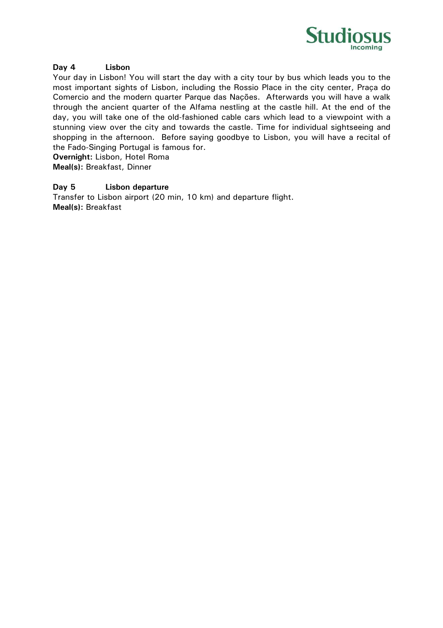

### **Day 4 Lisbon**

Your day in Lisbon! You will start the day with a city tour by bus which leads you to the most important sights of Lisbon, including the Rossio Place in the city center, Praça do Comercio and the modern quarter Parque das Nações. Afterwards you will have a walk through the ancient quarter of the Alfama nestling at the castle hill. At the end of the day, you will take one of the old-fashioned cable cars which lead to a viewpoint with a stunning view over the city and towards the castle. Time for individual sightseeing and shopping in the afternoon. Before saying goodbye to Lisbon, you will have a recital of the Fado-Singing Portugal is famous for.

**Overnight:** Lisbon, Hotel Roma **Meal(s):** Breakfast, Dinner

### **Day 5 Lisbon departure**

Transfer to Lisbon airport (20 min, 10 km) and departure flight. **Meal(s):** Breakfast